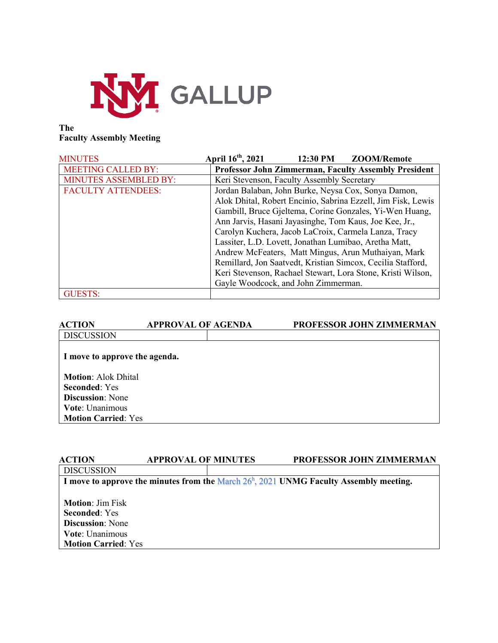

#### **The Faculty Assembly Meeting**

| <b>MINUTES</b>               | April 16 <sup>th</sup> , 2021                         | 12:30 PM | <b>ZOOM/Remote</b>                                           |
|------------------------------|-------------------------------------------------------|----------|--------------------------------------------------------------|
| <b>MEETING CALLED BY:</b>    |                                                       |          | <b>Professor John Zimmerman, Faculty Assembly President</b>  |
| <b>MINUTES ASSEMBLED BY:</b> | Keri Stevenson, Faculty Assembly Secretary            |          |                                                              |
| <b>FACULTY ATTENDEES:</b>    |                                                       |          | Jordan Balaban, John Burke, Neysa Cox, Sonya Damon,          |
|                              |                                                       |          | Alok Dhital, Robert Encinio, Sabrina Ezzell, Jim Fisk, Lewis |
|                              |                                                       |          | Gambill, Bruce Gjeltema, Corine Gonzales, Yi-Wen Huang,      |
|                              |                                                       |          | Ann Jarvis, Hasani Jayasinghe, Tom Kaus, Joe Kee, Jr.,       |
|                              |                                                       |          | Carolyn Kuchera, Jacob LaCroix, Carmela Lanza, Tracy         |
|                              | Lassiter, L.D. Lovett, Jonathan Lumibao, Aretha Matt, |          |                                                              |
|                              |                                                       |          | Andrew McFeaters, Matt Mingus, Arun Muthaiyan, Mark          |
|                              |                                                       |          | Remillard, Jon Saatvedt, Kristian Simcox, Cecilia Stafford,  |
|                              |                                                       |          | Keri Stevenson, Rachael Stewart, Lora Stone, Kristi Wilson,  |
|                              | Gayle Woodcock, and John Zimmerman.                   |          |                                                              |
| <b>GUESTS:</b>               |                                                       |          |                                                              |

| <b>APPROVAL OF AGENDA</b> | <b>PROFESSOR JOHN ZIMMERMAN</b>                                                                                                         |
|---------------------------|-----------------------------------------------------------------------------------------------------------------------------------------|
|                           |                                                                                                                                         |
|                           |                                                                                                                                         |
|                           |                                                                                                                                         |
|                           |                                                                                                                                         |
|                           |                                                                                                                                         |
|                           |                                                                                                                                         |
|                           |                                                                                                                                         |
|                           | I move to approve the agenda.<br><b>Motion:</b> Alok Dhital<br><b>Discussion:</b> None<br>Vote: Unanimous<br><b>Motion Carried: Yes</b> |

| <b>ACTION</b>              | <b>APPROVAL OF MINUTES</b>                                                                  | <b>PROFESSOR JOHN ZIMMERMAN</b> |
|----------------------------|---------------------------------------------------------------------------------------------|---------------------------------|
| <b>DISCUSSION</b>          |                                                                                             |                                 |
|                            | I move to approve the minutes from the March $26^h$ , $2021$ UNMG Faculty Assembly meeting. |                                 |
|                            |                                                                                             |                                 |
| <b>Motion: Jim Fisk</b>    |                                                                                             |                                 |
| <b>Seconded:</b> Yes       |                                                                                             |                                 |
| <b>Discussion:</b> None    |                                                                                             |                                 |
| <b>Vote:</b> Unanimous     |                                                                                             |                                 |
| <b>Motion Carried: Yes</b> |                                                                                             |                                 |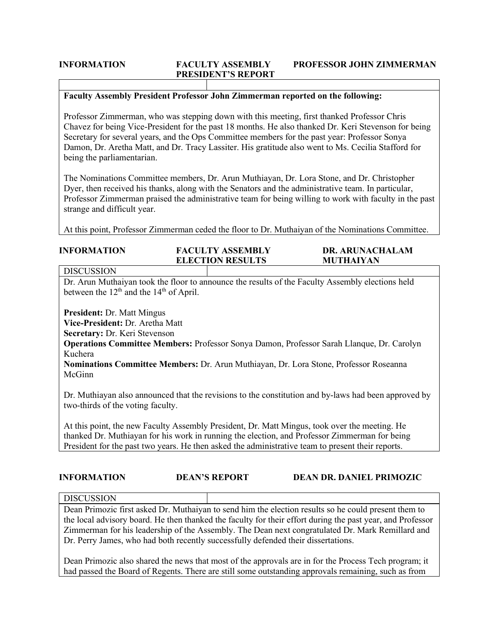# **PRESIDENT'S REPORT**

#### **INFORMATION FACULTY ASSEMBLY PROFESSOR JOHN ZIMMERMAN**

#### **Faculty Assembly President Professor John Zimmerman reported on the following:**

Professor Zimmerman, who was stepping down with this meeting, first thanked Professor Chris Chavez for being Vice-President for the past 18 months. He also thanked Dr. Keri Stevenson for being Secretary for several years, and the Ops Committee members for the past year: Professor Sonya Damon, Dr. Aretha Matt, and Dr. Tracy Lassiter. His gratitude also went to Ms. Cecilia Stafford for being the parliamentarian.

The Nominations Committee members, Dr. Arun Muthiayan, Dr. Lora Stone, and Dr. Christopher Dyer, then received his thanks, along with the Senators and the administrative team. In particular, Professor Zimmerman praised the administrative team for being willing to work with faculty in the past strange and difficult year.

At this point, Professor Zimmerman ceded the floor to Dr. Muthaiyan of the Nominations Committee.

| <b>INFORMATION</b> | <b>FACULTY ASSEMBLY</b> | <b>DR. ARUNACHALAM</b> |
|--------------------|-------------------------|------------------------|
|                    | <b>ELECTION RESULTS</b> | <b>MUTHAIYAN</b>       |

#### DISCUSSION

Dr. Arun Muthaiyan took the floor to announce the results of the Faculty Assembly elections held between the  $12<sup>th</sup>$  and the  $14<sup>th</sup>$  of April.

**President:** Dr. Matt Mingus

**Vice-President:** Dr. Aretha Matt

**Secretary:** Dr. Keri Stevenson

**Operations Committee Members:** Professor Sonya Damon, Professor Sarah Llanque, Dr. Carolyn Kuchera

**Nominations Committee Members:** Dr. Arun Muthiayan, Dr. Lora Stone, Professor Roseanna McGinn

Dr. Muthiayan also announced that the revisions to the constitution and by-laws had been approved by two-thirds of the voting faculty.

At this point, the new Faculty Assembly President, Dr. Matt Mingus, took over the meeting. He thanked Dr. Muthiayan for his work in running the election, and Professor Zimmerman for being President for the past two years. He then asked the administrative team to present their reports.

| <b>INFORMATION</b> | <b>DEAN'S REPORT</b> | <b>DEAN DR. DANIEL PRIMOZIC</b> |
|--------------------|----------------------|---------------------------------|
|                    |                      |                                 |

**DISCUSSION** 

Dean Primozic first asked Dr. Muthaiyan to send him the election results so he could present them to the local advisory board. He then thanked the faculty for their effort during the past year, and Professor Zimmerman for his leadership of the Assembly. The Dean next congratulated Dr. Mark Remillard and Dr. Perry James, who had both recently successfully defended their dissertations.

Dean Primozic also shared the news that most of the approvals are in for the Process Tech program; it had passed the Board of Regents. There are still some outstanding approvals remaining, such as from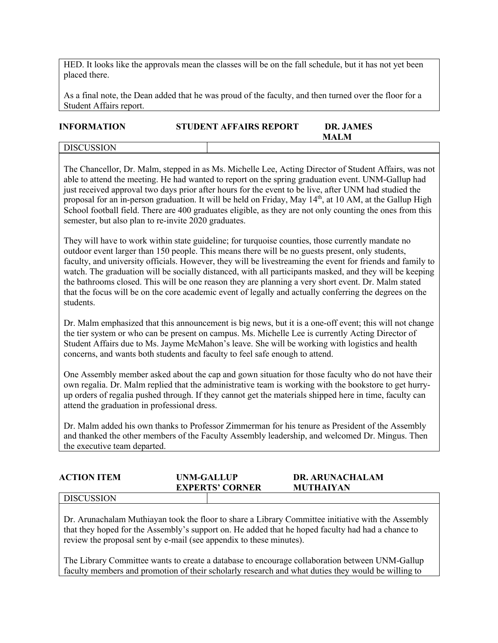HED. It looks like the approvals mean the classes will be on the fall schedule, but it has not yet been placed there.

As a final note, the Dean added that he was proud of the faculty, and then turned over the floor for a Student Affairs report.

## **INFORMATION STUDENT AFFAIRS REPORT DR. JAMES MALM**

**DISCUSSION** 

The Chancellor, Dr. Malm, stepped in as Ms. Michelle Lee, Acting Director of Student Affairs, was not able to attend the meeting. He had wanted to report on the spring graduation event. UNM-Gallup had just received approval two days prior after hours for the event to be live, after UNM had studied the proposal for an in-person graduation. It will be held on Friday, May 14<sup>th</sup>, at 10 AM, at the Gallup High School football field. There are 400 graduates eligible, as they are not only counting the ones from this semester, but also plan to re-invite 2020 graduates.

They will have to work within state guideline; for turquoise counties, those currently mandate no outdoor event larger than 150 people. This means there will be no guests present, only students, faculty, and university officials. However, they will be livestreaming the event for friends and family to watch. The graduation will be socially distanced, with all participants masked, and they will be keeping the bathrooms closed. This will be one reason they are planning a very short event. Dr. Malm stated that the focus will be on the core academic event of legally and actually conferring the degrees on the students.

Dr. Malm emphasized that this announcement is big news, but it is a one-off event; this will not change the tier system or who can be present on campus. Ms. Michelle Lee is currently Acting Director of Student Affairs due to Ms. Jayme McMahon's leave. She will be working with logistics and health concerns, and wants both students and faculty to feel safe enough to attend.

One Assembly member asked about the cap and gown situation for those faculty who do not have their own regalia. Dr. Malm replied that the administrative team is working with the bookstore to get hurryup orders of regalia pushed through. If they cannot get the materials shipped here in time, faculty can attend the graduation in professional dress.

Dr. Malm added his own thanks to Professor Zimmerman for his tenure as President of the Assembly and thanked the other members of the Faculty Assembly leadership, and welcomed Dr. Mingus. Then the executive team departed.

| <b>ACTION ITEM</b> | UNM-GALLUP<br><b>EXPERTS' CORNER</b> | <b>DR. ARUNACHALAM</b><br><b>MUTHAIYAN</b> |  |
|--------------------|--------------------------------------|--------------------------------------------|--|
| <b>DISCUSSION</b>  |                                      |                                            |  |

Dr. Arunachalam Muthiayan took the floor to share a Library Committee initiative with the Assembly that they hoped for the Assembly's support on. He added that he hoped faculty had had a chance to review the proposal sent by e-mail (see appendix to these minutes).

The Library Committee wants to create a database to encourage collaboration between UNM-Gallup faculty members and promotion of their scholarly research and what duties they would be willing to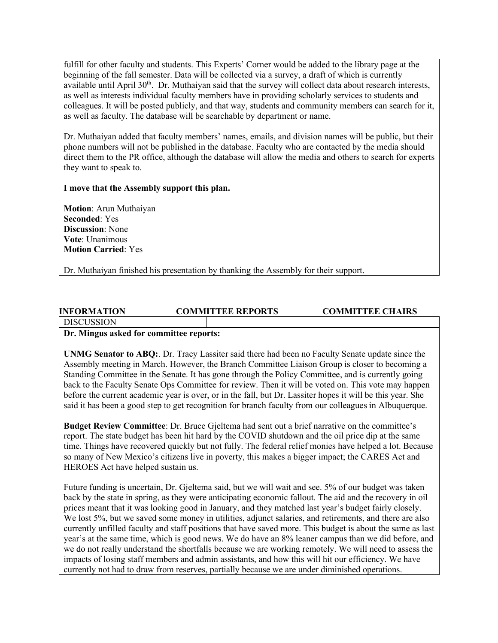fulfill for other faculty and students. This Experts' Corner would be added to the library page at the beginning of the fall semester. Data will be collected via a survey, a draft of which is currently available until April 30<sup>th</sup>. Dr. Muthaiyan said that the survey will collect data about research interests, as well as interests individual faculty members have in providing scholarly services to students and colleagues. It will be posted publicly, and that way, students and community members can search for it, as well as faculty. The database will be searchable by department or name.

Dr. Muthaiyan added that faculty members' names, emails, and division names will be public, but their phone numbers will not be published in the database. Faculty who are contacted by the media should direct them to the PR office, although the database will allow the media and others to search for experts they want to speak to.

**I move that the Assembly support this plan.**

**Motion**: Arun Muthaiyan **Seconded**: Yes **Discussion**: None **Vote**: Unanimous **Motion Carried**: Yes

Dr. Muthaiyan finished his presentation by thanking the Assembly for their support.

## **INFORMATION COMMITTEE REPORTS COMMITTEE CHAIRS**

**DISCUSSION** 

#### **Dr. Mingus asked for committee reports:**

**UNMG Senator to ABQ:**. Dr. Tracy Lassiter said there had been no Faculty Senate update since the Assembly meeting in March. However, the Branch Committee Liaison Group is closer to becoming a Standing Committee in the Senate. It has gone through the Policy Committee, and is currently going back to the Faculty Senate Ops Committee for review. Then it will be voted on. This vote may happen before the current academic year is over, or in the fall, but Dr. Lassiter hopes it will be this year. She said it has been a good step to get recognition for branch faculty from our colleagues in Albuquerque.

**Budget Review Committee**: Dr. Bruce Gjeltema had sent out a brief narrative on the committee's report. The state budget has been hit hard by the COVID shutdown and the oil price dip at the same time. Things have recovered quickly but not fully. The federal relief monies have helped a lot. Because so many of New Mexico's citizens live in poverty, this makes a bigger impact; the CARES Act and HEROES Act have helped sustain us.

Future funding is uncertain, Dr. Gjeltema said, but we will wait and see. 5% of our budget was taken back by the state in spring, as they were anticipating economic fallout. The aid and the recovery in oil prices meant that it was looking good in January, and they matched last year's budget fairly closely. We lost 5%, but we saved some money in utilities, adjunct salaries, and retirements, and there are also currently unfilled faculty and staff positions that have saved more. This budget is about the same as last year's at the same time, which is good news. We do have an 8% leaner campus than we did before, and we do not really understand the shortfalls because we are working remotely. We will need to assess the impacts of losing staff members and admin assistants, and how this will hit our efficiency. We have currently not had to draw from reserves, partially because we are under diminished operations.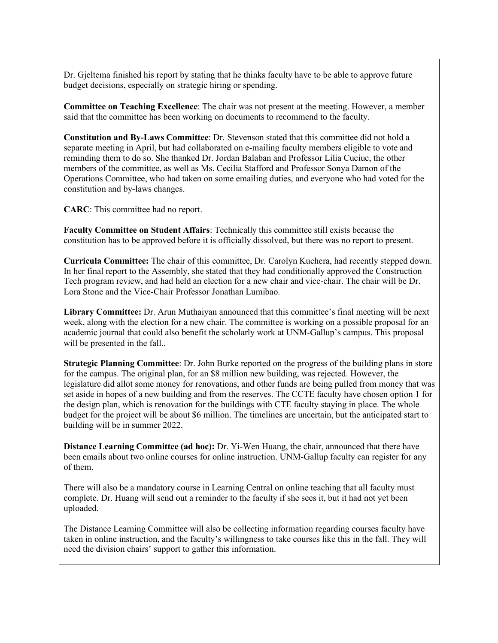Dr. Gjeltema finished his report by stating that he thinks faculty have to be able to approve future budget decisions, especially on strategic hiring or spending.

**Committee on Teaching Excellence**: The chair was not present at the meeting. However, a member said that the committee has been working on documents to recommend to the faculty.

**Constitution and By-Laws Committee**: Dr. Stevenson stated that this committee did not hold a separate meeting in April, but had collaborated on e-mailing faculty members eligible to vote and reminding them to do so. She thanked Dr. Jordan Balaban and Professor Lilia Cuciuc, the other members of the committee, as well as Ms. Cecilia Stafford and Professor Sonya Damon of the Operations Committee, who had taken on some emailing duties, and everyone who had voted for the constitution and by-laws changes.

**CARC**: This committee had no report.

**Faculty Committee on Student Affairs**: Technically this committee still exists because the constitution has to be approved before it is officially dissolved, but there was no report to present.

**Curricula Committee:** The chair of this committee, Dr. Carolyn Kuchera, had recently stepped down. In her final report to the Assembly, she stated that they had conditionally approved the Construction Tech program review, and had held an election for a new chair and vice-chair. The chair will be Dr. Lora Stone and the Vice-Chair Professor Jonathan Lumibao.

**Library Committee:** Dr. Arun Muthaiyan announced that this committee's final meeting will be next week, along with the election for a new chair. The committee is working on a possible proposal for an academic journal that could also benefit the scholarly work at UNM-Gallup's campus. This proposal will be presented in the fall..

**Strategic Planning Committee**: Dr. John Burke reported on the progress of the building plans in store for the campus. The original plan, for an \$8 million new building, was rejected. However, the legislature did allot some money for renovations, and other funds are being pulled from money that was set aside in hopes of a new building and from the reserves. The CCTE faculty have chosen option 1 for the design plan, which is renovation for the buildings with CTE faculty staying in place. The whole budget for the project will be about \$6 million. The timelines are uncertain, but the anticipated start to building will be in summer 2022.

**Distance Learning Committee (ad hoc):** Dr. Yi-Wen Huang, the chair, announced that there have been emails about two online courses for online instruction. UNM-Gallup faculty can register for any of them.

There will also be a mandatory course in Learning Central on online teaching that all faculty must complete. Dr. Huang will send out a reminder to the faculty if she sees it, but it had not yet been uploaded.

The Distance Learning Committee will also be collecting information regarding courses faculty have taken in online instruction, and the faculty's willingness to take courses like this in the fall. They will need the division chairs' support to gather this information.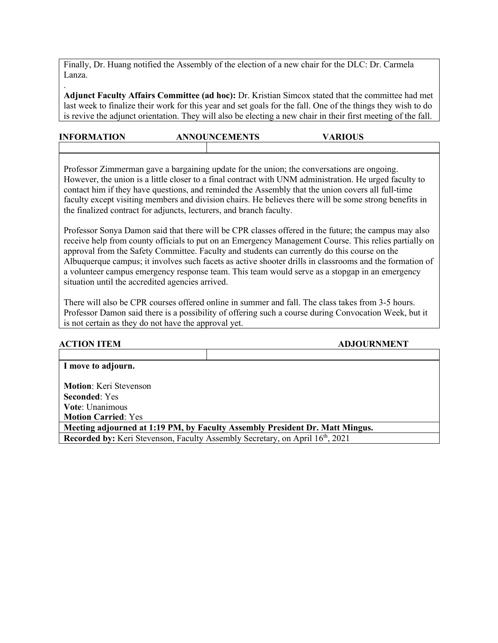Finally, Dr. Huang notified the Assembly of the election of a new chair for the DLC: Dr. Carmela Lanza.

.

**Adjunct Faculty Affairs Committee (ad hoc):** Dr. Kristian Simcox stated that the committee had met last week to finalize their work for this year and set goals for the fall. One of the things they wish to do is revive the adjunct orientation. They will also be electing a new chair in their first meeting of the fall.

| <b>INFORMATION</b> | <b>ANNOUNCEMENTS</b> | <b>VARIOUS</b> |  |
|--------------------|----------------------|----------------|--|
|                    |                      |                |  |

Professor Zimmerman gave a bargaining update for the union; the conversations are ongoing. However, the union is a little closer to a final contract with UNM administration. He urged faculty to contact him if they have questions, and reminded the Assembly that the union covers all full-time faculty except visiting members and division chairs. He believes there will be some strong benefits in the finalized contract for adjuncts, lecturers, and branch faculty.

Professor Sonya Damon said that there will be CPR classes offered in the future; the campus may also receive help from county officials to put on an Emergency Management Course. This relies partially on approval from the Safety Committee. Faculty and students can currently do this course on the Albuquerque campus; it involves such facets as active shooter drills in classrooms and the formation of a volunteer campus emergency response team. This team would serve as a stopgap in an emergency situation until the accredited agencies arrived.

There will also be CPR courses offered online in summer and fall. The class takes from 3-5 hours. Professor Damon said there is a possibility of offering such a course during Convocation Week, but it is not certain as they do not have the approval yet.

| <b>ACTION ITEM</b>            | <b>ADJOURNMENT</b>                                                                        |
|-------------------------------|-------------------------------------------------------------------------------------------|
|                               |                                                                                           |
| I move to adjourn.            |                                                                                           |
|                               |                                                                                           |
| <b>Motion:</b> Keri Stevenson |                                                                                           |
| <b>Seconded:</b> Yes          |                                                                                           |
| <b>Vote:</b> Unanimous        |                                                                                           |
| <b>Motion Carried: Yes</b>    |                                                                                           |
|                               | Meeting adjourned at 1:19 PM, by Faculty Assembly President Dr. Matt Mingus.              |
|                               | Recorded by: Keri Stevenson, Faculty Assembly Secretary, on April 16 <sup>th</sup> , 2021 |